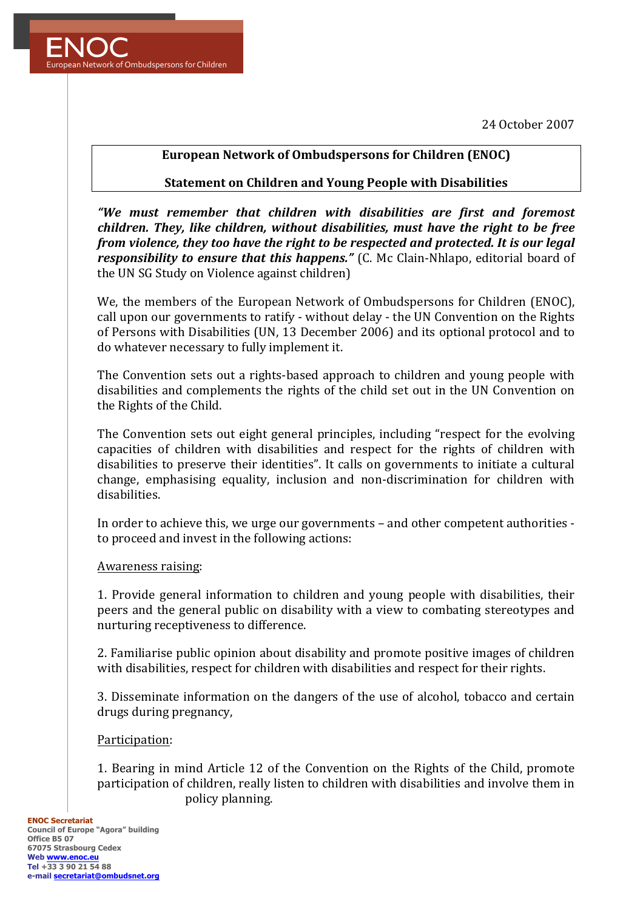24 October 2007



## **European Network of Ombudspersons for Children (ENOC)**

### **Statement on Children and Young People with Disabilities**

*"We must remember that children with disabilities are first and foremost children. They, like children, without disabilities, must have the right to be free from violence, they too have the right to be respected and protected. It is our legal responsibility to ensure that this happens."* (C. Mc Clain-Nhlapo, editorial board of the UN SG Study on Violence against children)

We, the members of the European Network of Ombudspersons for Children (ENOC), call upon our governments to ratify - without delay - the UN Convention on the Rights of Persons with Disabilities (UN, 13 December 2006) and its optional protocol and to do whatever necessary to fully implement it.

The Convention sets out a rights-based approach to children and young people with disabilities and complements the rights of the child set out in the UN Convention on the Rights of the Child.

The Convention sets out eight general principles, including "respect for the evolving capacities of children with disabilities and respect for the rights of children with disabilities to preserve their identities". It calls on governments to initiate a cultural change, emphasising equality, inclusion and non-discrimination for children with disabilities.

In order to achieve this, we urge our governments – and other competent authorities to proceed and invest in the following actions:

#### Awareness raising:

1. Provide general information to children and young people with disabilities, their peers and the general public on disability with a view to combating stereotypes and nurturing receptiveness to difference.

2. Familiarise public opinion about disability and promote positive images of children with disabilities, respect for children with disabilities and respect for their rights.

3. Disseminate information on the dangers of the use of alcohol, tobacco and certain drugs during pregnancy,

#### Participation:

1. Bearing in mind Article 12 of the Convention on the Rights of the Child, promote participation of children, really listen to children with disabilities and involve them in policy planning.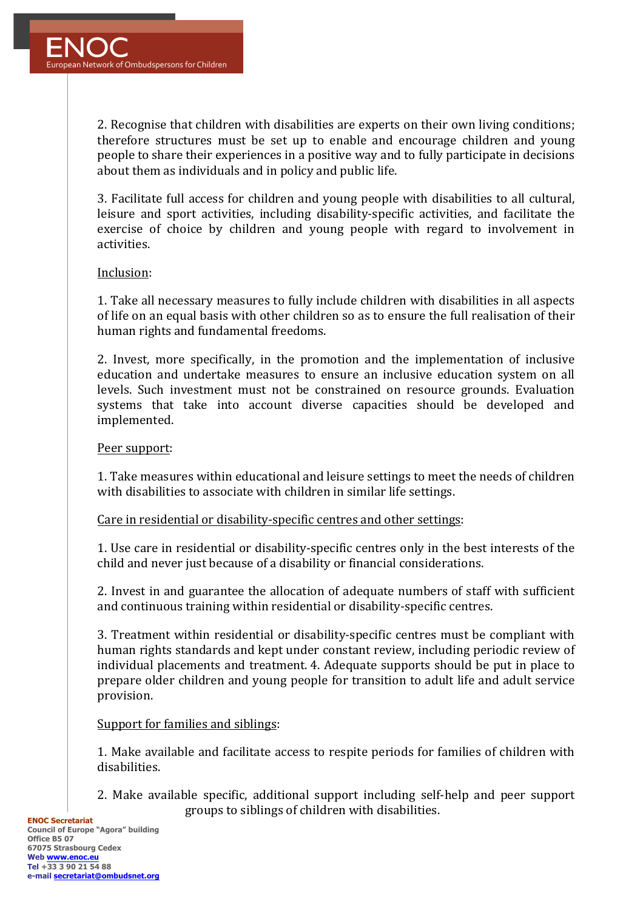2. Recognise that children with disabilities are experts on their own living conditions; therefore structures must be set up to enable and encourage children and voung people to share their experiences in a positive way and to fully participate in decisions about them as individuals and in policy and public life.

3. Facilitate full access for children and voung people with disabilities to all cultural, leisure and sport activities, including disability-specific activities, and facilitate the exercise of choice by children and young people with regard to involvement in activities.

## Inclusion:

1. Take all necessary measures to fully include children with disabilities in all aspects of life on an equal basis with other children so as to ensure the full realisation of their human rights and fundamental freedoms.

2. Invest, more specifically, in the promotion and the implementation of inclusive education and undertake measures to ensure an inclusive education system on all levels. Such investment must not be constrained on resource grounds. Evaluation systems that take into account diverse capacities should be developed and implemented.

### Peer support:

1. Take measures within educational and leisure settings to meet the needs of children with disabilities to associate with children in similar life settings.

Care in residential or disability-specific centres and other settings:

1. Use care in residential or disability-specific centres only in the best interests of the child and never just because of a disability or financial considerations.

2. Invest in and guarantee the allocation of adequate numbers of staff with sufficient and continuous training within residential or disability-specific centres.

3. Treatment within residential or disability-specific centres must be compliant with human rights standards and kept under constant review, including periodic review of individual placements and treatment. 4. Adequate supports should be put in place to prepare older children and young people for transition to adult life and adult service provision.

# Support for families and siblings:

1. Make available and facilitate access to respite periods for families of children with disabilities. 

2. Make available specific, additional support including self-help and peer support groups to siblings of children with disabilities.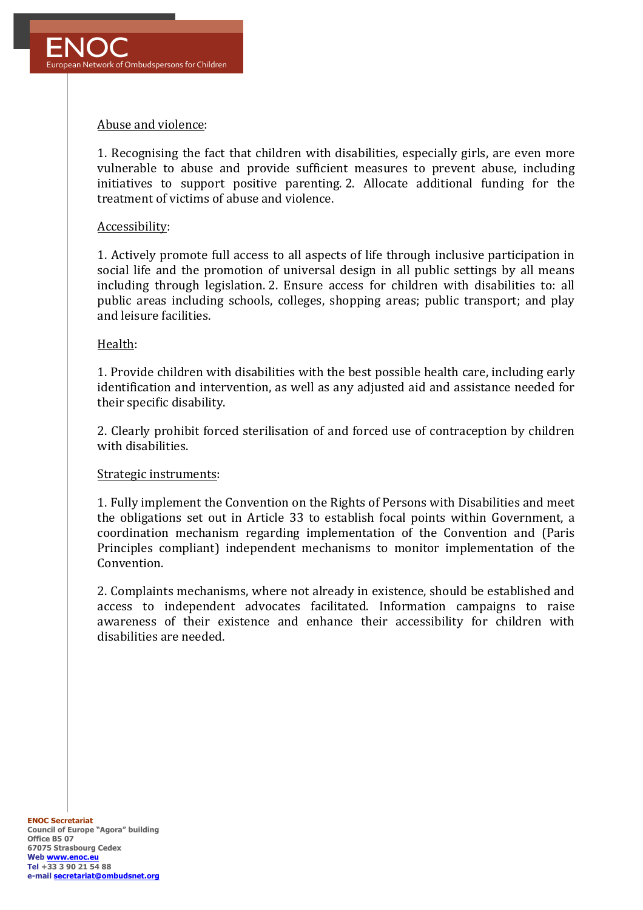

### Abuse and violence:

1. Recognising the fact that children with disabilities, especially girls, are even more vulnerable to abuse and provide sufficient measures to prevent abuse, including initiatives to support positive parenting. 2. Allocate additional funding for the treatment of victims of abuse and violence

#### Accessibility:

1. Actively promote full access to all aspects of life through inclusive participation in social life and the promotion of universal design in all public settings by all means including through legislation. 2. Ensure access for children with disabilities to: all public areas including schools, colleges, shopping areas; public transport; and play and leisure facilities.

#### Health:

1. Provide children with disabilities with the best possible health care, including early identification and intervention, as well as any adjusted aid and assistance needed for their specific disability.

2. Clearly prohibit forced sterilisation of and forced use of contraception by children with disabilities.

#### Strategic instruments:

1. Fully implement the Convention on the Rights of Persons with Disabilities and meet the obligations set out in Article 33 to establish focal points within Government, a coordination mechanism regarding implementation of the Convention and (Paris Principles compliant) independent mechanisms to monitor implementation of the Convention. 

2. Complaints mechanisms, where not already in existence, should be established and access to independent advocates facilitated. Information campaigns to raise awareness of their existence and enhance their accessibility for children with disabilities are needed.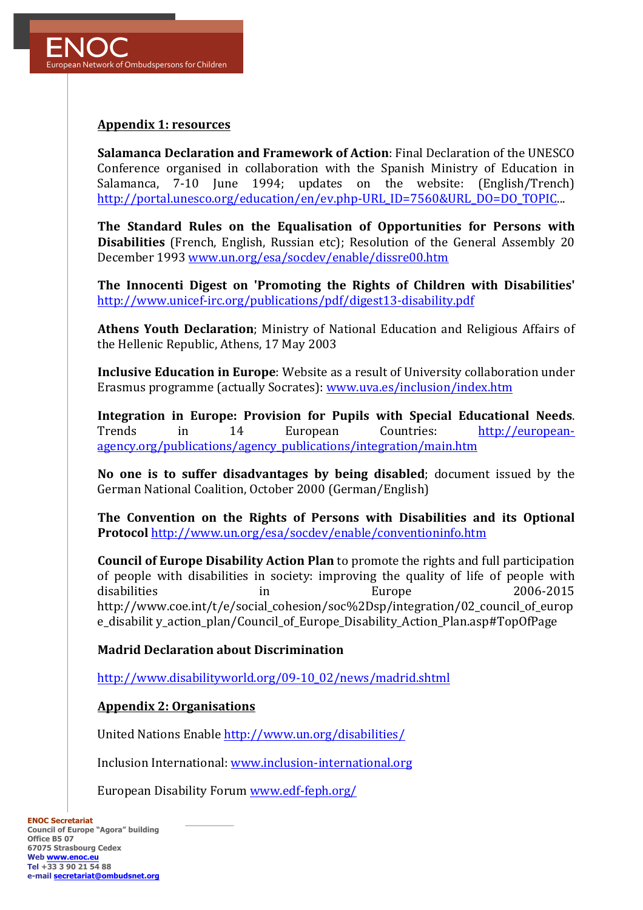

## **Appendix 1: resources**

**Salamanca Declaration and Framework of Action: Final Declaration of the UNESCO** Conference organised in collaboration with the Spanish Ministry of Education in Salamanca, 7-10 June 1994; updates on the website: (English/Trench) http://portal.unesco.org/education/en/ev.php-URL\_ID=7560&URL\_DO=DO\_TOPIC...

The Standard Rules on the Equalisation of Opportunities for Persons with **Disabilities** (French, English, Russian etc); Resolution of the General Assembly 20 December 1993 www.un.org/esa/socdev/enable/dissre00.htm

The Innocenti Digest on 'Promoting the Rights of Children with Disabilities' http://www.unicef-irc.org/publications/pdf/digest13-disability.pdf

Athens Youth Declaration; Ministry of National Education and Religious Affairs of the Hellenic Republic, Athens, 17 May 2003

**Inclusive Education in Europe**: Website as a result of University collaboration under Erasmus programme (actually Socrates): www.uva.es/inclusion/index.htm

**Integration in Europe: Provision for Pupils with Special Educational Needs.** Trends in 14 European Countries: http://europeanagency.org/publications/agency\_publications/integration/main.htm

**No** one is to suffer disadvantages by being disabled; document issued by the German National Coalition, October 2000 (German/English)

The Convention on the Rights of Persons with Disabilities and its Optional **Protocol** http://www.un.org/esa/socdev/enable/conventioninfo.htm

**Council of Europe Disability Action Plan** to promote the rights and full participation of people with disabilities in society: improving the quality of life of people with disabilities in Europe 2006-2015 http://www.coe.int/t/e/social\_cohesion/soc%2Dsp/integration/02\_council\_of\_europ e\_disabilit v\_action\_plan/Council\_of\_Europe\_Disability\_Action\_Plan.asp#TopOfPage

#### **Madrid Declaration about Discrimination**

http://www.disabilityworld.org/09-10\_02/news/madrid.shtml

#### **Appendix 2: Organisations**

United Nations Enable http://www.un.org/disabilities/

Inclusion International: www.inclusion-international.org

European Disability Forum www.edf-feph.org/